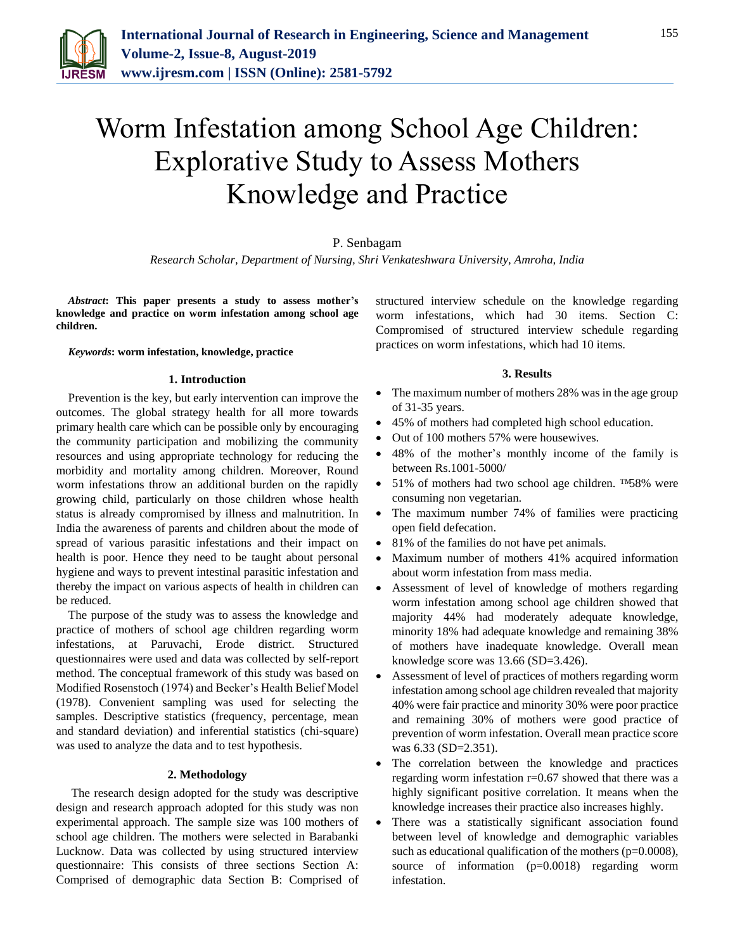

# Worm Infestation among School Age Children: Explorative Study to Assess Mothers Knowledge and Practice

## P. Senbagam

*Research Scholar, Department of Nursing, Shri Venkateshwara University, Amroha, India*

*Abstract***: This paper presents a study to assess mother's knowledge and practice on worm infestation among school age children.**

#### *Keywords***: worm infestation, knowledge, practice**

#### **1. Introduction**

Prevention is the key, but early intervention can improve the outcomes. The global strategy health for all more towards primary health care which can be possible only by encouraging the community participation and mobilizing the community resources and using appropriate technology for reducing the morbidity and mortality among children. Moreover, Round worm infestations throw an additional burden on the rapidly growing child, particularly on those children whose health status is already compromised by illness and malnutrition. In India the awareness of parents and children about the mode of spread of various parasitic infestations and their impact on health is poor. Hence they need to be taught about personal hygiene and ways to prevent intestinal parasitic infestation and thereby the impact on various aspects of health in children can be reduced.

The purpose of the study was to assess the knowledge and practice of mothers of school age children regarding worm infestations, at Paruvachi, Erode district. Structured questionnaires were used and data was collected by self-report method. The conceptual framework of this study was based on Modified Rosenstoch (1974) and Becker's Health Belief Model (1978). Convenient sampling was used for selecting the samples. Descriptive statistics (frequency, percentage, mean and standard deviation) and inferential statistics (chi-square) was used to analyze the data and to test hypothesis.

#### **2. Methodology**

The research design adopted for the study was descriptive design and research approach adopted for this study was non experimental approach. The sample size was 100 mothers of school age children. The mothers were selected in Barabanki Lucknow. Data was collected by using structured interview questionnaire: This consists of three sections Section A: Comprised of demographic data Section B: Comprised of structured interview schedule on the knowledge regarding worm infestations, which had 30 items. Section C: Compromised of structured interview schedule regarding practices on worm infestations, which had 10 items.

### **3. Results**

- The maximum number of mothers 28% was in the age group of 31-35 years.
- 45% of mothers had completed high school education.
- Out of 100 mothers 57% were housewives.
- 48% of the mother's monthly income of the family is between Rs.1001-5000/
- 51% of mothers had two school age children. ™58% were consuming non vegetarian.
- The maximum number 74% of families were practicing open field defecation.
- 81% of the families do not have pet animals.
- Maximum number of mothers 41% acquired information about worm infestation from mass media.
- Assessment of level of knowledge of mothers regarding worm infestation among school age children showed that majority 44% had moderately adequate knowledge, minority 18% had adequate knowledge and remaining 38% of mothers have inadequate knowledge. Overall mean knowledge score was 13.66 (SD=3.426).
- Assessment of level of practices of mothers regarding worm infestation among school age children revealed that majority 40% were fair practice and minority 30% were poor practice and remaining 30% of mothers were good practice of prevention of worm infestation. Overall mean practice score was 6.33 (SD=2.351).
- The correlation between the knowledge and practices regarding worm infestation r=0.67 showed that there was a highly significant positive correlation. It means when the knowledge increases their practice also increases highly.
- There was a statistically significant association found between level of knowledge and demographic variables such as educational qualification of the mothers (p=0.0008), source of information (p=0.0018) regarding worm infestation.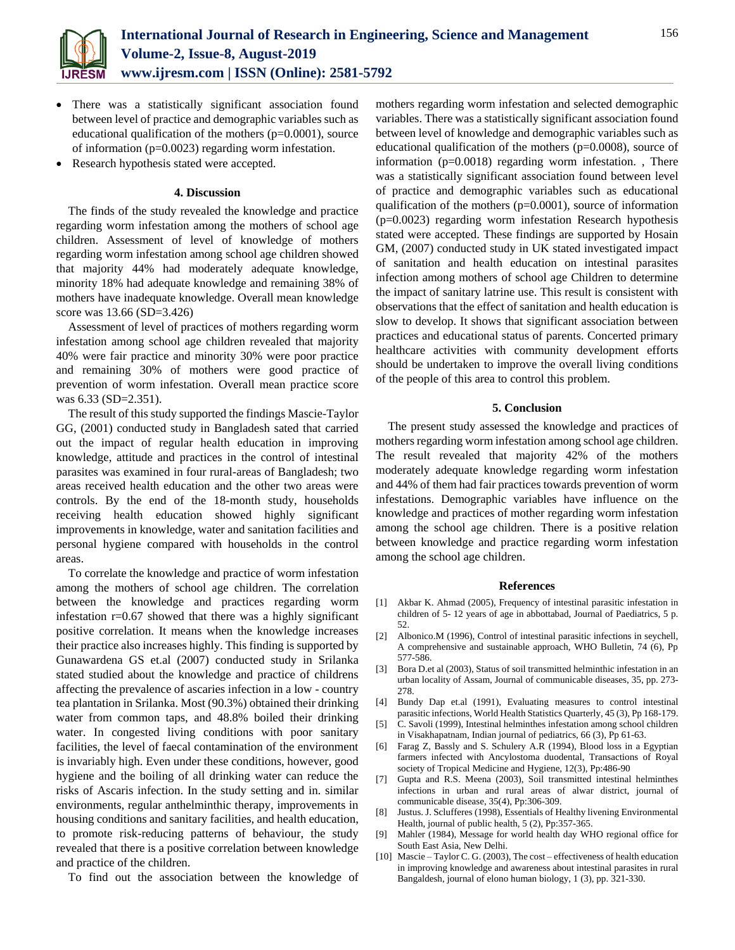

- There was a statistically significant association found between level of practice and demographic variables such as educational qualification of the mothers (p=0.0001), source of information (p=0.0023) regarding worm infestation.
- Research hypothesis stated were accepted.

#### **4. Discussion**

The finds of the study revealed the knowledge and practice regarding worm infestation among the mothers of school age children. Assessment of level of knowledge of mothers regarding worm infestation among school age children showed that majority 44% had moderately adequate knowledge, minority 18% had adequate knowledge and remaining 38% of mothers have inadequate knowledge. Overall mean knowledge score was 13.66 (SD=3.426)

Assessment of level of practices of mothers regarding worm infestation among school age children revealed that majority 40% were fair practice and minority 30% were poor practice and remaining 30% of mothers were good practice of prevention of worm infestation. Overall mean practice score was 6.33 (SD=2.351).

The result of this study supported the findings Mascie-Taylor GG, (2001) conducted study in Bangladesh sated that carried out the impact of regular health education in improving knowledge, attitude and practices in the control of intestinal parasites was examined in four rural-areas of Bangladesh; two areas received health education and the other two areas were controls. By the end of the 18-month study, households receiving health education showed highly significant improvements in knowledge, water and sanitation facilities and personal hygiene compared with households in the control areas.

To correlate the knowledge and practice of worm infestation among the mothers of school age children. The correlation between the knowledge and practices regarding worm infestation  $r=0.67$  showed that there was a highly significant positive correlation. It means when the knowledge increases their practice also increases highly. This finding is supported by Gunawardena GS et.al (2007) conducted study in Srilanka stated studied about the knowledge and practice of childrens affecting the prevalence of ascaries infection in a low - country tea plantation in Srilanka. Most (90.3%) obtained their drinking water from common taps, and 48.8% boiled their drinking water. In congested living conditions with poor sanitary facilities, the level of faecal contamination of the environment is invariably high. Even under these conditions, however, good hygiene and the boiling of all drinking water can reduce the risks of Ascaris infection. In the study setting and in. similar environments, regular anthelminthic therapy, improvements in housing conditions and sanitary facilities, and health education, to promote risk-reducing patterns of behaviour, the study revealed that there is a positive correlation between knowledge and practice of the children.

To find out the association between the knowledge of

mothers regarding worm infestation and selected demographic variables. There was a statistically significant association found between level of knowledge and demographic variables such as educational qualification of the mothers ( $p=0.0008$ ), source of information (p=0.0018) regarding worm infestation. , There was a statistically significant association found between level of practice and demographic variables such as educational qualification of the mothers (p=0.0001), source of information (p=0.0023) regarding worm infestation Research hypothesis stated were accepted. These findings are supported by Hosain GM, (2007) conducted study in UK stated investigated impact of sanitation and health education on intestinal parasites infection among mothers of school age Children to determine the impact of sanitary latrine use. This result is consistent with observations that the effect of sanitation and health education is slow to develop. It shows that significant association between practices and educational status of parents. Concerted primary healthcare activities with community development efforts should be undertaken to improve the overall living conditions of the people of this area to control this problem.

#### **5. Conclusion**

The present study assessed the knowledge and practices of mothers regarding worm infestation among school age children. The result revealed that majority 42% of the mothers moderately adequate knowledge regarding worm infestation and 44% of them had fair practices towards prevention of worm infestations. Demographic variables have influence on the knowledge and practices of mother regarding worm infestation among the school age children. There is a positive relation between knowledge and practice regarding worm infestation among the school age children.

#### **References**

- [1] Akbar K. Ahmad (2005), Frequency of intestinal parasitic infestation in children of 5- 12 years of age in abbottabad, Journal of Paediatrics, 5 p. 52.
- [2] Albonico.M (1996), Control of intestinal parasitic infections in seychell, A comprehensive and sustainable approach, WHO Bulletin, 74 (6), Pp 577-586.
- [3] Bora D.et al (2003), Status of soil transmitted helminthic infestation in an urban locality of Assam, Journal of communicable diseases, 35, pp. 273- 278.
- [4] Bundy Dap et.al (1991), Evaluating measures to control intestinal parasitic infections, World Health Statistics Quarterly, 45 (3), Pp 168-179.
- [5] C. Savoli (1999), Intestinal helminthes infestation among school children in Visakhapatnam, Indian journal of pediatrics, 66 (3), Pp 61-63.
- [6] Farag Z, Bassly and S. Schulery A.R (1994), Blood loss in a Egyptian farmers infected with Ancylostoma duodental, Transactions of Royal society of Tropical Medicine and Hygiene, 12(3), Pp:486-90
- [7] Gupta and R.S. Meena (2003), Soil transmitted intestinal helminthes infections in urban and rural areas of alwar district, journal of communicable disease, 35(4), Pp:306-309.
- [8] Justus. J. Sclufferes (1998), Essentials of Healthy livening Environmental Health, journal of public health, 5 (2), Pp:357-365.
- [9] Mahler (1984), Message for world health day WHO regional office for South East Asia, New Delhi.
- [10] Mascie Taylor C. G. (2003), The cost effectiveness of health education in improving knowledge and awareness about intestinal parasites in rural Bangaldesh, journal of elono human biology, 1 (3), pp. 321-330.